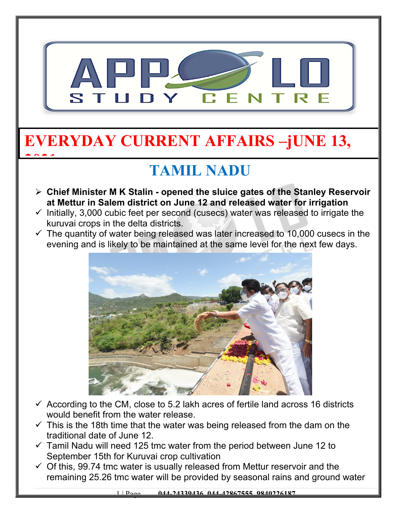

# **EVERYDAY CURRENT AFFAIRS –jUNE 13,**

**2021**

### **TAMIL NADU**

- **Chief Minister M K Stalin opened the sluice gates of the Stanley Reservoir at Mettur in Salem district on June 12 and released water for irrigation**
- $\checkmark$  Initially, 3,000 cubic feet per second (cusecs) water was released to irrigate the kuruvai crops in the delta districts.
- $\checkmark$  The quantity of water being released was later increased to 10,000 cusecs in the evening and is likely to be maintained at the same level for the next few days.



- $\checkmark$  According to the CM, close to 5.2 lakh acres of fertile land across 16 districts would benefit from the water release.
- $\checkmark$  This is the 18th time that the water was being released from the dam on the traditional date of June 12.
- $\checkmark$  Tamil Nadu will need 125 tmc water from the period between June 12 to September 15th for Kuruvai crop cultivation
- $\checkmark$  Of this, 99.74 tmc water is usually released from Mettur reservoir and the remaining 25.26 tmc water will be provided by seasonal rains and ground water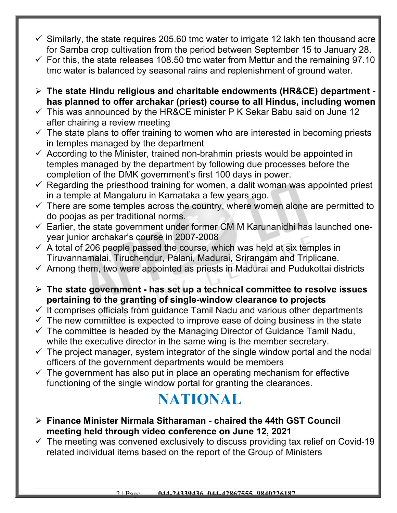- $\checkmark$  Similarly, the state requires 205.60 tmc water to irrigate 12 lakh ten thousand acre for Samba crop cultivation from the period between September 15 to January 28.
- $\checkmark$  For this, the state releases 108.50 tmc water from Mettur and the remaining 97.10 tmc water is balanced by seasonal rains and replenishment of ground water.
- **The state Hindu religious and charitable endowments (HR&CE) department has planned to offer archakar (priest) course to all Hindus, including women**
- $\checkmark$  This was announced by the HR&CE minister P K Sekar Babu said on June 12 after chairing a review meeting
- $\checkmark$  The state plans to offer training to women who are interested in becoming priests in temples managed by the department
- $\checkmark$  According to the Minister, trained non-brahmin priests would be appointed in temples managed by the department by following due processes before the completion of the DMK government's first 100 days in power.
- $\checkmark$  Regarding the priesthood training for women, a dalit woman was appointed priest in a temple at Mangaluru in Karnataka a few years ago.
- $\checkmark$  There are some temples across the country, where women alone are permitted to do poojas as per traditional norms.
- $\checkmark$  Earlier, the state government under former CM M Karunanidhi has launched oneyear junior archakar's course in 2007-2008
- $\checkmark$  A total of 206 people passed the course, which was held at six temples in Tiruvannamalai, Tiruchendur, Palani, Madurai, Srirangam and Triplicane.
- $\checkmark$  Among them, two were appointed as priests in Madurai and Pudukottai districts
- **The state government has set up a technical committee to resolve issues pertaining to the granting of single-window clearance to projects**
- $\checkmark$  It comprises officials from guidance Tamil Nadu and various other departments
- $\checkmark$  The new committee is expected to improve ease of doing business in the state
- $\checkmark$  The committee is headed by the Managing Director of Guidance Tamil Nadu, while the executive director in the same wing is the member secretary.
- $\checkmark$  The project manager, system integrator of the single window portal and the nodal officers of the government departments would be members
- $\checkmark$  The government has also put in place an operating mechanism for effective functioning of the single window portal for granting the clearances.

### **NATIONAL**

- **Finance Minister Nirmala Sitharaman chaired the 44th GST Council meeting held through video conference on June 12, 2021**
- $\checkmark$  The meeting was convened exclusively to discuss providing tax relief on Covid-19 related individual items based on the report of the Group of Ministers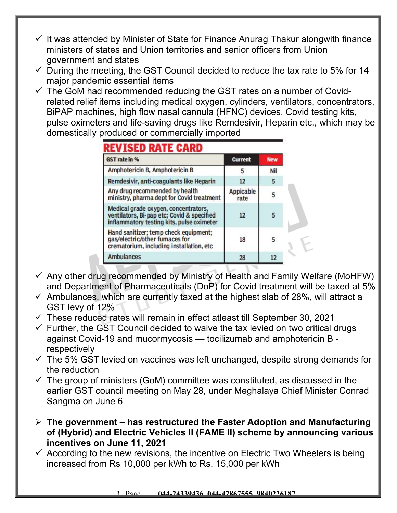- $\checkmark$  It was attended by Minister of State for Finance Anurag Thakur alongwith finance ministers of states and Union territories and senior officers from Union government and states
- $\checkmark$  During the meeting, the GST Council decided to reduce the tax rate to 5% for 14 major pandemic essential items
- $\checkmark$  The GoM had recommended reducing the GST rates on a number of Covidrelated relief items including medical oxygen, cylinders, ventilators, concentrators, BiPAP machines, high flow nasal cannula (HFNC) devices, Covid testing kits, pulse oximeters and life-saving drugs like Remdesivir, Heparin etc., which may be domestically produced or commercially imported

| <b>GST</b> rate in %                                                                                                            | <b>Current</b>    | <b>New</b> |
|---------------------------------------------------------------------------------------------------------------------------------|-------------------|------------|
| Amphotericin B, Amphotericin B                                                                                                  | 5                 | <b>Nil</b> |
| Remdesivir, anti-coagulants like Heparin                                                                                        | 12                | 5          |
| Any drug recommended by health<br>ministry, pharma dept for Covid treatment                                                     | Appicable<br>rate | 5          |
| Medical grade oxygen, concentrators,<br>ventilators, Bi-pap etc; Covid & specified<br>inflammatory testing kits, pulse oximeter | 12                | 5          |
| Hand sanitizer; temp check equipment;<br>gas/electric/other fumaces for<br>crematorium, including installation, etc             | 18                | 5          |
| <b>Ambulances</b>                                                                                                               | 28                | 12         |

- $\checkmark$  Any other drug recommended by Ministry of Health and Family Welfare (MoHFW) and Department of Pharmaceuticals (DoP) for Covid treatment will be taxed at 5%
- $\checkmark$  Ambulances, which are currently taxed at the highest slab of 28%, will attract a GST levy of 12%
- $\checkmark$  These reduced rates will remain in effect atleast till September 30, 2021
- $\checkmark$  Further, the GST Council decided to waive the tax levied on two critical drugs against Covid-19 and mucormycosis — tocilizumab and amphotericin B respectively
- $\checkmark$  The 5% GST levied on vaccines was left unchanged, despite strong demands for the reduction
- $\checkmark$  The group of ministers (GoM) committee was constituted, as discussed in the earlier GST council meeting on May 28, under Meghalaya Chief Minister Conrad Sangma on June 6
- **The government has restructured the Faster Adoption and Manufacturing of (Hybrid) and Electric Vehicles II (FAME II) scheme by announcing various incentives on June 11, 2021**
- $\checkmark$  According to the new revisions, the incentive on Electric Two Wheelers is being increased from Rs 10,000 per kWh to Rs. 15,000 per kWh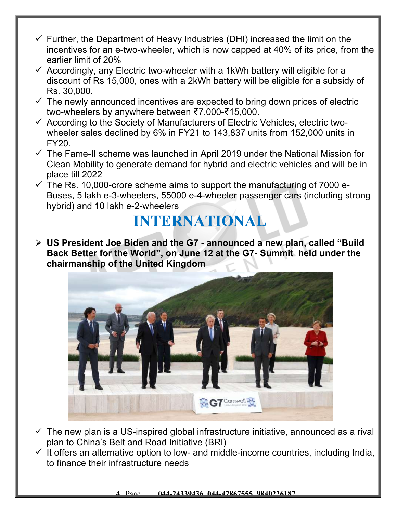- $\checkmark$  Further, the Department of Heavy Industries (DHI) increased the limit on the incentives for an e-two-wheeler, which is now capped at 40% of its price, from the earlier limit of 20%
- $\checkmark$  Accordingly, any Electric two-wheeler with a 1kWh battery will eligible for a discount of Rs 15,000, ones with a 2kWh battery will be eligible for a subsidy of Rs. 30,000.
- $\checkmark$  The newly announced incentives are expected to bring down prices of electric two-wheelers by anywhere between ₹7,000-₹15,000.
- $\checkmark$  According to the Society of Manufacturers of Electric Vehicles, electric twowheeler sales declined by 6% in FY21 to 143,837 units from 152,000 units in FY20.
- $\checkmark$  The Fame-II scheme was launched in April 2019 under the National Mission for Clean Mobility to generate demand for hybrid and electric vehicles and will be in place till 2022
- $\checkmark$  The Rs. 10,000-crore scheme aims to support the manufacturing of 7000 e-Buses, 5 lakh e-3-wheelers, 55000 e-4-wheeler passenger cars (including strong hybrid) and 10 lakh e-2-wheelers

### **INTERNATIONAL**

 **US President Joe Biden and the G7 - announced a new plan, called "Build Back Better for the World", on June 12 at the G7- Summit held under the chairmanship of the United Kingdom**



- $\checkmark$  The new plan is a US-inspired global infrastructure initiative, announced as a rival plan to China's Belt and Road Initiative (BRI)
- $\checkmark$  It offers an alternative option to low- and middle-income countries, including India, to finance their infrastructure needs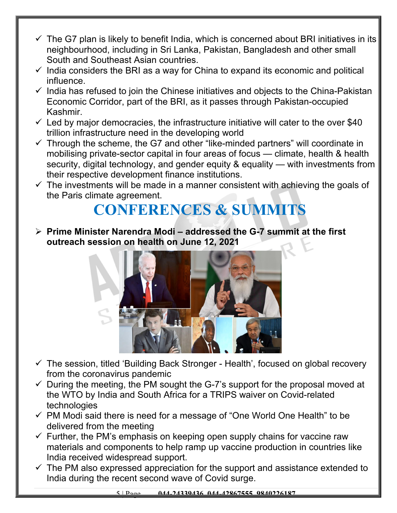- $\checkmark$  The G7 plan is likely to benefit India, which is concerned about BRI initiatives in its neighbourhood, including in Sri Lanka, Pakistan, Bangladesh and other small South and Southeast Asian countries.
- $\checkmark$  India considers the BRI as a way for China to expand its economic and political influence.
- $\checkmark$  India has refused to join the Chinese initiatives and objects to the China-Pakistan Economic Corridor, part of the BRI, as it passes through Pakistan-occupied Kashmir.
- $\checkmark$  Led by major democracies, the infrastructure initiative will cater to the over \$40 trillion infrastructure need in the developing world
- $\checkmark$  Through the scheme, the G7 and other "like-minded partners" will coordinate in mobilising private-sector capital in four areas of focus — climate, health & health security, digital technology, and gender equity & equality — with investments from their respective development finance institutions.
- $\checkmark$  The investments will be made in a manner consistent with achieving the goals of the Paris climate agreement.

### **CONFERENCES & SUMMITS**

 **Prime Minister Narendra Modi – addressed the G-7 summit at the first outreach session on health on June 12, 2021**



- $\checkmark$  The session, titled 'Building Back Stronger Health', focused on global recovery from the coronavirus pandemic
- $\checkmark$  During the meeting, the PM sought the G-7's support for the proposal moved at the WTO by India and South Africa for a TRIPS waiver on Covid-related technologies
- $\checkmark$  PM Modi said there is need for a message of "One World One Health" to be delivered from the meeting
- $\checkmark$  Further, the PM's emphasis on keeping open supply chains for vaccine raw materials and components to help ramp up vaccine production in countries like India received widespread support.
- $\checkmark$  The PM also expressed appreciation for the support and assistance extended to India during the recent second wave of Covid surge.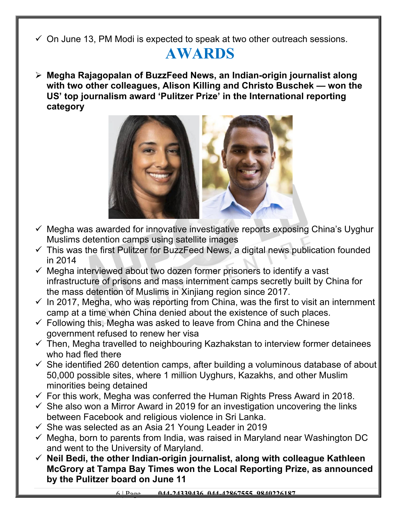$\checkmark$  On June 13, PM Modi is expected to speak at two other outreach sessions.

## **AWARDS**

 **Megha Rajagopalan of BuzzFeed News, an Indian-origin journalist along with two other colleagues, Alison Killing and Christo Buschek — won the US' top journalism award 'Pulitzer Prize' in the International reporting category**



- $\checkmark$  Megha was awarded for innovative investigative reports exposing China's Uyghur Muslims detention camps using satellite images
- $\checkmark$  This was the first Pulitzer for BuzzFeed News, a digital news publication founded in 2014
- $\checkmark$  Megha interviewed about two dozen former prisoners to identify a vast infrastructure of prisons and mass internment camps secretly built by China for the mass detention of Muslims in Xinjiang region since 2017.
- $\checkmark$  In 2017, Megha, who was reporting from China, was the first to visit an internment camp at a time when China denied about the existence of such places.
- $\checkmark$  Following this, Megha was asked to leave from China and the Chinese government refused to renew her visa
- $\checkmark$  Then, Megha travelled to neighbouring Kazhakstan to interview former detainees who had fled there
- $\checkmark$  She identified 260 detention camps, after building a voluminous database of about 50,000 possible sites, where 1 million Uyghurs, Kazakhs, and other Muslim minorities being detained
- $\checkmark$  For this work, Megha was conferred the Human Rights Press Award in 2018.
- $\checkmark$  She also won a Mirror Award in 2019 for an investigation uncovering the links between Facebook and religious violence in Sri Lanka.
- $\checkmark$  She was selected as an Asia 21 Young Leader in 2019
- $\checkmark$  Megha, born to parents from India, was raised in Maryland near Washington DC and went to the University of Maryland.
- **Neil Bedi, the other Indian-origin journalist, along with colleague Kathleen McGrory at Tampa Bay Times won the Local Reporting Prize, as announced by the Pulitzer board on June 11**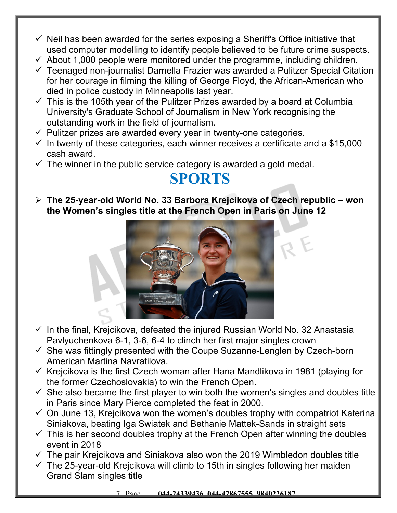- $\checkmark$  Neil has been awarded for the series exposing a Sheriff's Office initiative that used computer modelling to identify people believed to be future crime suspects.
- $\checkmark$  About 1,000 people were monitored under the programme, including children.
- $\checkmark$  Teenaged non-journalist Darnella Frazier was awarded a Pulitzer Special Citation for her courage in filming the killing of George Floyd, the African-American who died in police custody in Minneapolis last year.
- $\checkmark$  This is the 105th year of the Pulitzer Prizes awarded by a board at Columbia University's Graduate School of Journalism in New York recognising the outstanding work in the field of journalism.
- $\checkmark$  Pulitzer prizes are awarded every year in twenty-one categories.
- $\checkmark$  In twenty of these categories, each winner receives a certificate and a \$15,000 cash award.
- $\checkmark$  The winner in the public service category is awarded a gold medal.

#### **SPORTS**

 **The 25-year-old World No. 33 Barbora Krejcikova of Czech republic – won the Women's singles title at the French Open in Paris on June 12**



- $\checkmark$  In the final, Krejcikova, defeated the injured Russian World No. 32 Anastasia Pavlyuchenkova 6-1, 3-6, 6-4 to clinch her first major singles crown
- $\checkmark$  She was fittingly presented with the Coupe Suzanne-Lenglen by Czech-born American Martina Navratilova.
- $\checkmark$  Krejcikova is the first Czech woman after Hana Mandlikova in 1981 (playing for the former Czechoslovakia) to win the French Open.
- $\checkmark$  She also became the first player to win both the women's singles and doubles title in Paris since Mary Pierce completed the feat in 2000.
- $\checkmark$  On June 13, Krejcikova won the women's doubles trophy with compatriot Katerina Siniakova, beating Iga Swiatek and Bethanie Mattek-Sands in straight sets
- $\checkmark$  This is her second doubles trophy at the French Open after winning the doubles event in 2018
- $\checkmark$  The pair Krejcikova and Siniakova also won the 2019 Wimbledon doubles title
- $\checkmark$  The 25-year-old Krejcikova will climb to 15th in singles following her maiden Grand Slam singles title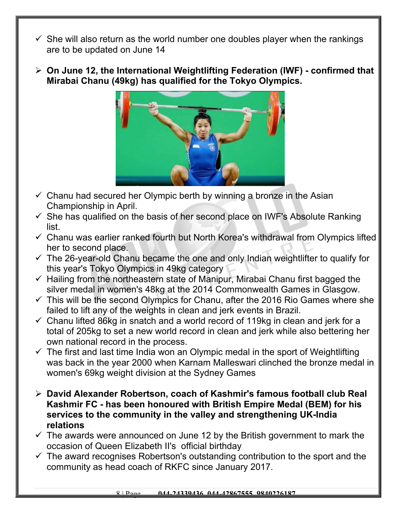- $\checkmark$  She will also return as the world number one doubles player when the rankings are to be updated on June 14
- **On June 12, the International Weightlifting Federation (IWF) confirmed that Mirabai Chanu (49kg) has qualified for the Tokyo Olympics.**



- $\checkmark$  Chanu had secured her Olympic berth by winning a bronze in the Asian Championship in April.
- $\checkmark$  She has qualified on the basis of her second place on IWF's Absolute Ranking list.
- $\checkmark$  Chanu was earlier ranked fourth but North Korea's withdrawal from Olympics lifted her to second place.
- $\checkmark$  The 26-year-old Chanu became the one and only Indian weightlifter to qualify for this year's Tokyo Olympics in 49kg category
- $\checkmark$  Hailing from the northeastern state of Manipur, Mirabai Chanu first bagged the silver medal in women's 48kg at the 2014 Commonwealth Games in Glasgow.
- $\checkmark$  This will be the second Olympics for Chanu, after the 2016 Rio Games where she failed to lift any of the weights in clean and jerk events in Brazil.
- $\checkmark$  Chanu lifted 86kg in snatch and a world record of 119kg in clean and jerk for a total of 205kg to set a new world record in clean and jerk while also bettering her own national record in the process.
- $\checkmark$  The first and last time India won an Olympic medal in the sport of Weightlifting was back in the year 2000 when Karnam Malleswari clinched the bronze medal in women's 69kg weight division at the Sydney Games
- **David Alexander Robertson, coach of Kashmir's famous football club Real Kashmir FC - has been honoured with British Empire Medal (BEM) for his services to the community in the valley and strengthening UK-India relations**
- $\checkmark$  The awards were announced on June 12 by the British government to mark the occasion of Queen Elizabeth II's official birthday
- $\checkmark$  The award recognises Robertson's outstanding contribution to the sport and the community as head coach of RKFC since January 2017.